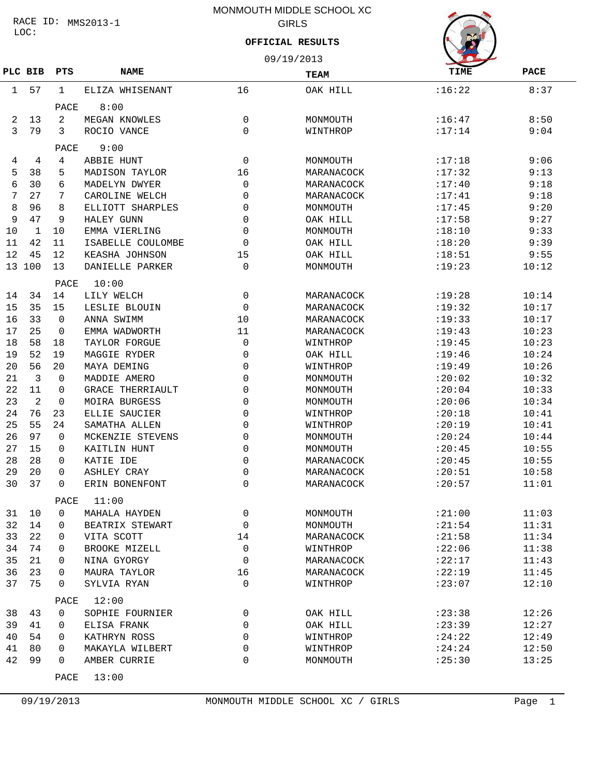### LOC: RACE ID: MMS2013-1

# MONMOUTH MIDDLE SCHOOL XC GIRLS

### **OFFICIAL RESULTS**

|         |        |             |                         |             | 09/19/2013  |             |             |  |  |
|---------|--------|-------------|-------------------------|-------------|-------------|-------------|-------------|--|--|
| PLC BIB |        | PTS         | <b>NAME</b>             |             | <b>TEAM</b> | <b>TIME</b> | <b>PACE</b> |  |  |
| 1       | 57     | 1           | ELIZA WHISENANT         | 16          | OAK HILL    | :16:22      | 8:37        |  |  |
|         |        | PACE        | 8:00                    |             |             |             |             |  |  |
| 2       | 13     | 2           | MEGAN KNOWLES           | 0           | MONMOUTH    | :16:47      | 8:50        |  |  |
| 3       | 79     | 3           | ROCIO VANCE             | 0           | WINTHROP    | :17:14      | 9:04        |  |  |
|         |        | PACE        | 9:00                    |             |             |             |             |  |  |
| 4       | 4      | 4           | ABBIE HUNT              | 0           | MONMOUTH    | :17:18      | 9:06        |  |  |
| 5       | 38     | 5           | MADISON TAYLOR          | 16          | MARANACOCK  | :17:32      | 9:13        |  |  |
| 6       | 30     | 6           | MADELYN DWYER           | 0           | MARANACOCK  | :17:40      | 9:18        |  |  |
| 7       | 27     | 7           | CAROLINE WELCH          | 0           | MARANACOCK  | : 17:41     | 9:18        |  |  |
| 8       | 96     | 8           | ELLIOTT SHARPLES        | 0           | MONMOUTH    | :17:45      | 9:20        |  |  |
| 9       | 47     | 9           | HALEY GUNN              | 0           | OAK HILL    | :17:58      | 9:27        |  |  |
| 10      | 1      | 10          | EMMA VIERLING           | 0           | MONMOUTH    | :18:10      | 9:33        |  |  |
| 11      | 42     | 11          | ISABELLE COULOMBE       | 0           | OAK HILL    | :18:20      | 9:39        |  |  |
| 12      | 45     | 12          | KEASHA JOHNSON          | 15          | OAK HILL    | :18:51      | 9:55        |  |  |
|         | 13 100 | 13          | DANIELLE PARKER         | $\Omega$    | MONMOUTH    | :19:23      | 10:12       |  |  |
|         |        | PACE        | 10:00                   |             |             |             |             |  |  |
| 14      | 34     | 14          | LILY WELCH              | 0           | MARANACOCK  | :19:28      | 10:14       |  |  |
| 15      | 35     | 15          | LESLIE BLOUIN           | 0           | MARANACOCK  | :19:32      | 10:17       |  |  |
| 16      | 33     | $\Omega$    | ANNA SWIMM              | 10          | MARANACOCK  | :19:33      | 10:17       |  |  |
| 17      | 25     | $\Omega$    | EMMA WADWORTH           | 11          | MARANACOCK  | : 19:43     | 10:23       |  |  |
| 18      | 58     | 18          | TAYLOR FORGUE           | 0           | WINTHROP    | : 19:45     | 10:23       |  |  |
| 19      | 52     | 19          | MAGGIE RYDER            | 0           | OAK HILL    | :19:46      | 10:24       |  |  |
| 20      | 56     | 20          | MAYA DEMING             | 0           | WINTHROP    | :19:49      | 10:26       |  |  |
| 21      | 3      | $\Omega$    | MADDIE AMERO            | 0           | MONMOUTH    | :20:02      | 10:32       |  |  |
| 22      | 11     | 0           | <b>GRACE THERRIAULT</b> | 0           | MONMOUTH    | : 20:04     | 10:33       |  |  |
| 23      | 2      | 0           | <b>MOIRA BURGESS</b>    | 0           | MONMOUTH    | : 20:06     | 10:34       |  |  |
| 24      | 76     | 23          | ELLIE SAUCIER           | 0           | WINTHROP    | :20:18      | 10:41       |  |  |
| 25      | 55     | 24          | SAMATHA ALLEN           | 0           | WINTHROP    | :20:19      | 10:41       |  |  |
| 26      | 97     | 0           | MCKENZIE STEVENS        | 0           | MONMOUTH    | : 20:24     | 10:44       |  |  |
| 27      | 15     | 0           | KAITLIN HUNT            | 0           | MONMOUTH    | : 20:45     | 10:55       |  |  |
| 28      | 28     | 0           | KATIE IDE               | 0           | MARANACOCK  | : 20:45     | 10:55       |  |  |
| 29      | 20     | 0           | <b>ASHLEY CRAY</b>      | 0           | MARANACOCK  | : 20:51     | 10:58       |  |  |
| 30      | 37     | 0           | ERIN BONENFONT          | 0           | MARANACOCK  | : 20:57     | 11:01       |  |  |
|         |        | PACE        | 11:00                   |             |             |             |             |  |  |
| 31      | 10     | $\mathbf 0$ | MAHALA HAYDEN           | 0           | MONMOUTH    | : 21:00     | 11:03       |  |  |
| 32      | 14     | 0           | BEATRIX STEWART         | 0           | MONMOUTH    | : 21:54     | 11:31       |  |  |
| 33      | 22     | 0           | VITA SCOTT              | 14          | MARANACOCK  | : 21:58     | 11:34       |  |  |
| 34      | 74     | 0           | BROOKE MIZELL           | $\mathbf 0$ | WINTHROP    | :22:06      | 11:38       |  |  |
| 35      | 21     | 0           | NINA GYORGY             | 0           | MARANACOCK  | : 22:17     | 11:43       |  |  |
| 36      | 23     | $\Omega$    | MAURA TAYLOR            | 16          | MARANACOCK  | :22:19      | 11:45       |  |  |
| 37      | 75     | 0           | SYLVIA RYAN             | 0           | WINTHROP    | :23:07      | 12:10       |  |  |
|         |        | PACE        | 12:00                   |             |             |             |             |  |  |
| 38      | 43     | 0           | SOPHIE FOURNIER         | 0           | OAK HILL    | : 23:38     | 12:26       |  |  |
| 39      | 41     | $\Omega$    | ELISA FRANK             | 0           | OAK HILL    | : 23:39     | 12:27       |  |  |
| 40      | 54     | 0           | KATHRYN ROSS            | 0           | WINTHROP    | : 24:22     | 12:49       |  |  |
| 41      | 80     | $\Omega$    | MAKAYLA WILBERT         | 0           | WINTHROP    | : 24:24     | 12:50       |  |  |
| 42      | 99     | 0           | AMBER CURRIE            | 0           | MONMOUTH    | : 25:30     | 13:25       |  |  |
|         |        | PACE        | 13:00                   |             |             |             |             |  |  |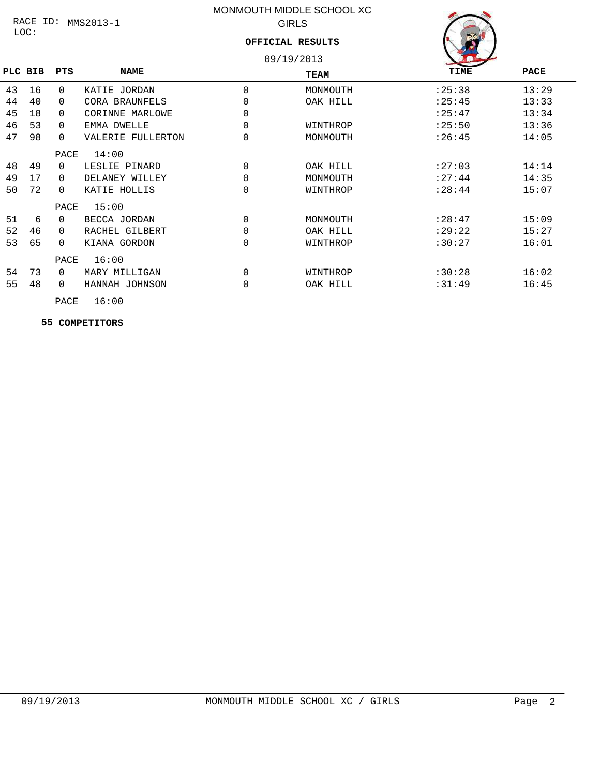### LOC: RACE ID: MMS2013-1

# MONMOUTH MIDDLE SCHOOL XC GIRLS

## **OFFICIAL RESULTS**



|    |         |          |                   |             | 09/19/2013 | <b>A</b> OWN |       |
|----|---------|----------|-------------------|-------------|------------|--------------|-------|
|    | PLC BIB | PTS      | <b>NAME</b>       |             | TEAM       | TIME         | PACE  |
| 43 | 16      | $\Omega$ | KATIE JORDAN      | $\Omega$    | MONMOUTH   | : 25:38      | 13:29 |
| 44 | 40      | $\Omega$ | CORA BRAUNFELS    | 0           | OAK HILL   | : 25:45      | 13:33 |
| 45 | 18      | $\Omega$ | CORINNE MARLOWE   | 0           |            | : 25:47      | 13:34 |
| 46 | 53      | $\Omega$ | EMMA DWELLE       | 0           | WINTHROP   | : 25:50      | 13:36 |
| 47 | 98      | $\Omega$ | VALERIE FULLERTON | 0           | MONMOUTH   | : 26:45      | 14:05 |
|    |         | PACE     | 14:00             |             |            |              |       |
| 48 | 49      | $\Omega$ | LESLIE PINARD     | $\Omega$    | OAK HILL   | : 27:03      | 14:14 |
| 49 | 17      | $\Omega$ | DELANEY WILLEY    | $\mathbf 0$ | MONMOUTH   | : 27:44      | 14:35 |
| 50 | 72      | $\Omega$ | KATIE HOLLIS      | $\Omega$    | WINTHROP   | : 28:44      | 15:07 |
|    |         | PACE     | 15:00             |             |            |              |       |
| 51 | 6       | $\Omega$ | BECCA JORDAN      | 0           | MONMOUTH   | : 28:47      | 15:09 |
| 52 | 46      | $\Omega$ | RACHEL GILBERT    | 0           | OAK HILL   | :29:22       | 15:27 |
| 53 | 65      | $\Omega$ | KIANA GORDON      | 0           | WINTHROP   | :30:27       | 16:01 |
|    |         | PACE     | 16:00             |             |            |              |       |
| 54 | 73      | $\Omega$ | MARY MILLIGAN     | $\Omega$    | WINTHROP   | :30:28       | 16:02 |
| 55 | 48      | $\Omega$ | HANNAH JOHNSON    | $\Omega$    | OAK HILL   | :31:49       | 16:45 |
|    |         |          |                   |             |            |              |       |

PACE 16:00

 **55 COMPETITORS**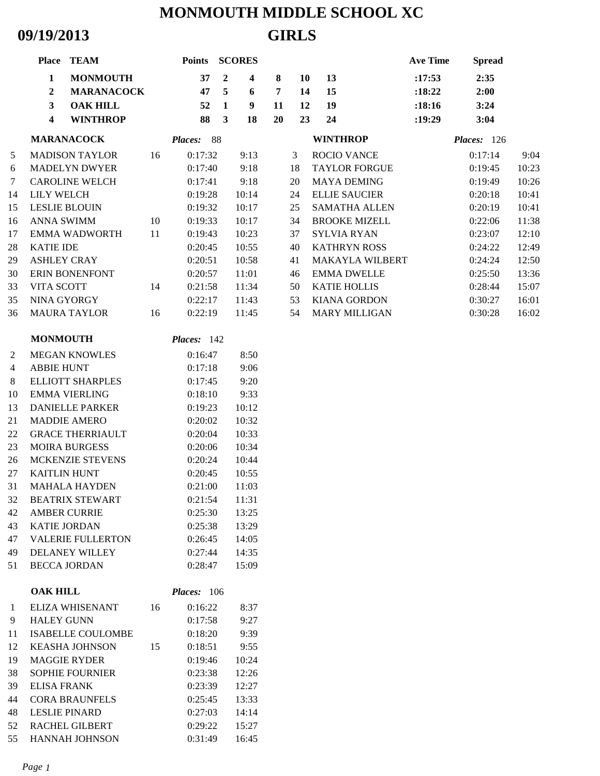# **MONMOUTH MIDDLE SCHOOL XC 09/19/2013 GIRLS**

|    | Place TEAM                                 |    | <b>Points</b> | <b>SCORES</b>                             |                |    |                        | <b>Ave Time</b> | <b>Spread</b> |       |
|----|--------------------------------------------|----|---------------|-------------------------------------------|----------------|----|------------------------|-----------------|---------------|-------|
|    | $\mathbf{1}$<br><b>MONMOUTH</b>            |    | 37            | $\overline{2}$<br>$\overline{\mathbf{4}}$ | 8              | 10 | 13                     | :17:53          | 2:35          |       |
|    | $\overline{2}$<br><b>MARANACOCK</b>        |    | 47            | 5<br>6                                    | $\overline{7}$ | 14 | 15                     | :18:22          | 2:00          |       |
|    | $\mathbf{3}$<br><b>OAK HILL</b>            |    | 52            | $\mathbf{1}$<br>9                         | 11             | 12 | 19                     | :18:16          | 3:24          |       |
|    | <b>WINTHROP</b><br>$\overline{\mathbf{4}}$ |    | 88            | 3<br>18                                   | 20             | 23 | 24                     | :19:29          | 3:04          |       |
|    | <b>MARANACOCK</b>                          |    | Places: 88    |                                           |                |    | <b>WINTHROP</b>        |                 | Places: 126   |       |
| 5  | <b>MADISON TAYLOR</b>                      | 16 | 0:17:32       | 9:13                                      | 3              |    | <b>ROCIO VANCE</b>     |                 | 0:17:14       | 9:04  |
| 6  | <b>MADELYN DWYER</b>                       |    | 0:17:40       | 9:18                                      | 18             |    | <b>TAYLOR FORGUE</b>   |                 | 0:19:45       | 10:23 |
| 7  | <b>CAROLINE WELCH</b>                      |    | 0:17:41       | 9:18                                      | 20             |    | <b>MAYA DEMING</b>     |                 | 0:19:49       | 10:26 |
| 14 | <b>LILY WELCH</b>                          |    | 0:19:28       | 10:14                                     | 24             |    | <b>ELLIE SAUCIER</b>   |                 | 0:20:18       | 10:41 |
| 15 | <b>LESLIE BLOUIN</b>                       |    | 0:19:32       | 10:17                                     | 25             |    | <b>SAMATHA ALLEN</b>   |                 | 0:20:19       | 10:41 |
| 16 | <b>ANNA SWIMM</b>                          | 10 | 0:19:33       | 10:17                                     | 34             |    | <b>BROOKE MIZELL</b>   |                 | 0:22:06       | 11:38 |
| 17 | <b>EMMA WADWORTH</b>                       | 11 | 0:19:43       | 10:23                                     | 37             |    | <b>SYLVIA RYAN</b>     |                 | 0:23:07       | 12:10 |
| 28 | <b>KATIE IDE</b>                           |    | 0:20:45       | 10:55                                     | 40             |    | <b>KATHRYN ROSS</b>    |                 | 0:24:22       | 12:49 |
| 29 | <b>ASHLEY CRAY</b>                         |    | 0:20:51       | 10:58                                     | 41             |    | <b>MAKAYLA WILBERT</b> |                 | 0:24:24       | 12:50 |
| 30 | ERIN BONENFONT                             |    | 0:20:57       | 11:01                                     | 46             |    | <b>EMMA DWELLE</b>     |                 | 0:25:50       | 13:36 |
| 33 | VITA SCOTT                                 | 14 | 0:21:58       | 11:34                                     | 50             |    | <b>KATIE HOLLIS</b>    |                 | 0:28:44       | 15:07 |
| 35 | NINA GYORGY                                |    | 0:22:17       | 11:43                                     | 53             |    | <b>KIANA GORDON</b>    |                 | 0:30:27       | 16:01 |
| 36 | <b>MAURA TAYLOR</b>                        | 16 | 0:22:19       | 11:45                                     | 54             |    | <b>MARY MILLIGAN</b>   |                 | 0:30:28       | 16:02 |
|    | <b>MONMOUTH</b>                            |    | Places: 142   |                                           |                |    |                        |                 |               |       |
| 2  | <b>MEGAN KNOWLES</b>                       |    | 0:16:47       | 8:50                                      |                |    |                        |                 |               |       |
| 4  | <b>ABBIE HUNT</b>                          |    | 0:17:18       | 9:06                                      |                |    |                        |                 |               |       |
| 8  | <b>ELLIOTT SHARPLES</b>                    |    | 0:17:45       | 9:20                                      |                |    |                        |                 |               |       |
| 10 | <b>EMMA VIERLING</b>                       |    | 0:18:10       | 9:33                                      |                |    |                        |                 |               |       |
| 13 | <b>DANIELLE PARKER</b>                     |    | 0:19:23       | 10:12                                     |                |    |                        |                 |               |       |
| 21 | <b>MADDIE AMERO</b>                        |    | 0:20:02       | 10:32                                     |                |    |                        |                 |               |       |
| 22 | <b>GRACE THERRIAULT</b>                    |    | 0:20:04       | 10:33                                     |                |    |                        |                 |               |       |
| 23 | <b>MOIRA BURGESS</b>                       |    | 0:20:06       | 10:34                                     |                |    |                        |                 |               |       |
| 26 | MCKENZIE STEVENS                           |    | 0:20:24       | 10:44                                     |                |    |                        |                 |               |       |
| 27 | <b>KAITLIN HUNT</b>                        |    | 0:20:45       | 10:55                                     |                |    |                        |                 |               |       |
| 31 | MAHALA HAYDEN                              |    | 0:21:00       | 11:03                                     |                |    |                        |                 |               |       |
| 32 | <b>BEATRIX STEWART</b>                     |    | 0:21:54       | 11:31                                     |                |    |                        |                 |               |       |
| 42 | <b>AMBER CURRIE</b>                        |    | 0:25:30       | 13:25                                     |                |    |                        |                 |               |       |
| 43 | <b>KATIE JORDAN</b>                        |    | 0:25:38       | 13:29                                     |                |    |                        |                 |               |       |
| 47 | <b>VALERIE FULLERTON</b>                   |    | 0:26:45       | 14:05                                     |                |    |                        |                 |               |       |
| 49 | <b>DELANEY WILLEY</b>                      |    | 0:27:44       | 14:35                                     |                |    |                        |                 |               |       |
| 51 | <b>BECCA JORDAN</b>                        |    | 0:28:47       | 15:09                                     |                |    |                        |                 |               |       |
|    | <b>OAK HILL</b>                            |    | Places: 106   |                                           |                |    |                        |                 |               |       |
| 1  | ELIZA WHISENANT                            | 16 | 0:16:22       | 8:37                                      |                |    |                        |                 |               |       |
| 9  | <b>HALEY GUNN</b>                          |    | 0:17:58       | 9:27                                      |                |    |                        |                 |               |       |
| 11 | <b>ISABELLE COULOMBE</b>                   |    | 0:18:20       | 9:39                                      |                |    |                        |                 |               |       |
| 12 | <b>KEASHA JOHNSON</b>                      | 15 | 0:18:51       | 9:55                                      |                |    |                        |                 |               |       |
| 19 | <b>MAGGIE RYDER</b>                        |    | 0:19:46       | 10:24                                     |                |    |                        |                 |               |       |
| 38 | <b>SOPHIE FOURNIER</b>                     |    | 0:23:38       | 12:26                                     |                |    |                        |                 |               |       |
| 39 | <b>ELISA FRANK</b>                         |    | 0:23:39       | 12:27                                     |                |    |                        |                 |               |       |
| 44 | <b>CORA BRAUNFELS</b>                      |    | 0:25:45       | 13:33                                     |                |    |                        |                 |               |       |
| 48 | <b>LESLIE PINARD</b>                       |    | 0:27:03       | 14:14                                     |                |    |                        |                 |               |       |
| 52 | RACHEL GILBERT                             |    | 0:29:22       | 15:27                                     |                |    |                        |                 |               |       |
| 55 | HANNAH JOHNSON                             |    | 0:31:49       | 16:45                                     |                |    |                        |                 |               |       |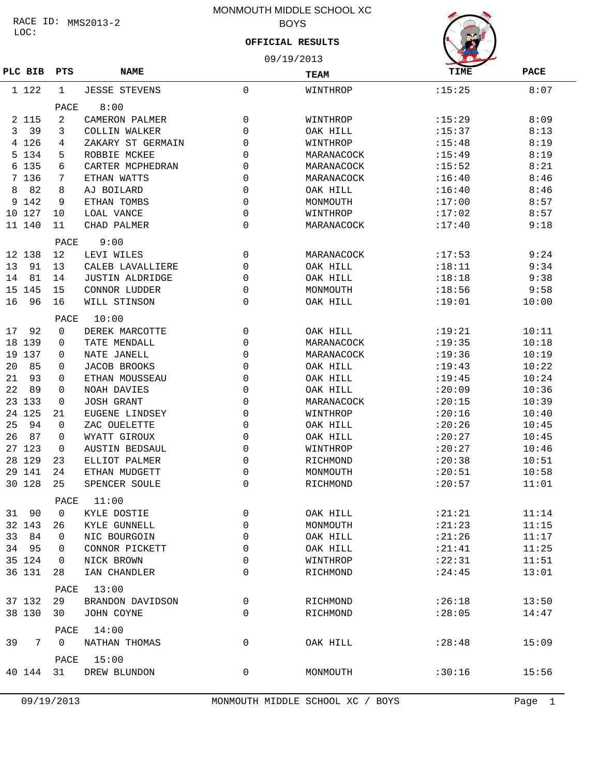### LOC: RACE ID: MMS2013-2

# MONMOUTH MIDDLE SCHOOL XC BOYS

# 09/19/2013 **OFFICIAL RESULTS**

| PLC BIB  | PTS         | <b>NAME</b>            | TEAM        |            | <b>TIME</b> | <b>PACE</b> |  |  |
|----------|-------------|------------------------|-------------|------------|-------------|-------------|--|--|
| 1 122    | 1           | <b>JESSE STEVENS</b>   | $\mathbf 0$ | WINTHROP   | :15:25      | 8:07        |  |  |
|          | PACE        | 8:00                   |             |            |             |             |  |  |
| 2 1 1 5  | 2           | CAMERON PALMER         | 0           | WINTHROP   | :15:29      | 8:09        |  |  |
| 39<br>3  | 3           | COLLIN WALKER          | $\Omega$    | OAK HILL   | :15:37      | 8:13        |  |  |
| 4 1 2 6  | 4           | ZAKARY ST GERMAIN      | 0           | WINTHROP   | :15:48      | 8:19        |  |  |
| 5 134    | 5           | ROBBIE MCKEE           | 0           | MARANACOCK | :15:49      | 8:19        |  |  |
| 6 135    | 6           | CARTER MCPHEDRAN       | 0           | MARANACOCK | :15:52      | 8:21        |  |  |
| 7 136    | 7           | ETHAN WATTS            | $\Omega$    | MARANACOCK | :16:40      | 8:46        |  |  |
| 82<br>8  | 8           | AJ BOILARD             | $\Omega$    | OAK HILL   | :16:40      | 8:46        |  |  |
| 9 142    | 9           | ETHAN TOMBS            | $\Omega$    | MONMOUTH   | :17:00      | 8:57        |  |  |
| 10 127   | 10          | LOAL VANCE             | $\Omega$    | WINTHROP   | :17:02      | 8:57        |  |  |
| 11 140   | 11          | CHAD PALMER            | 0           | MARANACOCK | :17:40      | 9:18        |  |  |
|          | PACE        | 9:00                   |             |            |             |             |  |  |
| 12 138   | 12          | LEVI WILES             | 0           | MARANACOCK | :17:53      | 9:24        |  |  |
| 91<br>13 | 13          | CALEB LAVALLIERE       | 0           | OAK HILL   | : 18:11     | 9:34        |  |  |
| 81<br>14 | 14          | <b>JUSTIN ALDRIDGE</b> | 0           | OAK HILL   | :18:18      | 9:38        |  |  |
| 15 145   | 15          | CONNOR LUDDER          | 0           | MONMOUTH   | :18:56      | 9:58        |  |  |
| 16<br>96 | 16          | WILL STINSON           | 0           | OAK HILL   | :19:01      | 10:00       |  |  |
|          | PACE        | 10:00                  |             |            |             |             |  |  |
| 92<br>17 | $\Omega$    | DEREK MARCOTTE         | 0           | OAK HILL   | : 19:21     | 10:11       |  |  |
| 18 139   | 0           | TATE MENDALL           | $\Omega$    | MARANACOCK | :19:35      | 10:18       |  |  |
| 19 137   | 0           | NATE JANELL            | 0           | MARANACOCK | :19:36      | 10:19       |  |  |
| 85<br>20 | 0           | <b>JACOB BROOKS</b>    | 0           | OAK HILL   | : 19:43     | 10:22       |  |  |
| 93       |             |                        |             |            |             |             |  |  |
| 21       | 0           | ETHAN MOUSSEAU         | 0           | OAK HILL   | : 19:45     | 10:24       |  |  |
| 22<br>89 | 0           | NOAH DAVIES            | $\Omega$    | OAK HILL   | :20:09      | 10:36       |  |  |
| 23 133   | 0           | <b>JOSH GRANT</b>      | $\Omega$    | MARANACOCK | : 20:15     | 10:39       |  |  |
| 24 125   | 21          | EUGENE LINDSEY         | $\Omega$    | WINTHROP   | : 20:16     | 10:40       |  |  |
| 25<br>94 | 0           | ZAC OUELETTE           | 0           | OAK HILL   | : 20:26     | 10:45       |  |  |
| 26<br>87 | 0           | WYATT GIROUX           | $\Omega$    | OAK HILL   | : 20:27     | 10:45       |  |  |
| 27 123   | 0           | <b>AUSTIN BEDSAUL</b>  | 0           | WINTHROP   | : 20:27     | 10:46       |  |  |
| 28 129   | 23          | ELLIOT PALMER          | 0           | RICHMOND   | : 20:38     | 10:51       |  |  |
| 29 141   | 24          | ETHAN MUDGETT          | 0           | MONMOUTH   | : 20:51     | 10:58       |  |  |
| 30 128   | 25          | SPENCER SOULE          | 0           | RICHMOND   | : 20:57     | 11:01       |  |  |
|          | PACE        | 11:00                  |             |            |             |             |  |  |
| 90<br>31 | 0           | KYLE DOSTIE            | 0           | OAK HILL   | : 21:21     | 11:14       |  |  |
| 32 143   | 26          | KYLE GUNNELL           | 0           | MONMOUTH   | : 21:23     | 11:15       |  |  |
| 84<br>33 | 0           | NIC BOURGOIN           | 0           | OAK HILL   | : 21:26     | 11:17       |  |  |
| 95<br>34 | 0           | CONNOR PICKETT         | 0           | OAK HILL   | : 21:41     | 11:25       |  |  |
| 35 124   | 0           | NICK BROWN             | 0           | WINTHROP   | : 22:31     | 11:51       |  |  |
| 36 131   | 28          | IAN CHANDLER           | 0           | RICHMOND   | : 24:45     | 13:01       |  |  |
|          | PACE        | 13:00                  |             |            |             |             |  |  |
| 37 132   | 29          | BRANDON DAVIDSON       | 0           | RICHMOND   | :26:18      | 13:50       |  |  |
| 38 130   | 30          | JOHN COYNE             | 0           | RICHMOND   | : 28:05     | 14:47       |  |  |
|          | PACE        | 14:00                  |             |            |             |             |  |  |
| 39<br>7  | $\mathbf 0$ | NATHAN THOMAS          | 0           | OAK HILL   | : 28:48     | 15:09       |  |  |
|          | PACE        | 15:00                  |             |            |             |             |  |  |
| 40 144   | 31          | DREW BLUNDON           | 0           | MONMOUTH   | :30:16      | 15:56       |  |  |
|          |             |                        |             |            |             |             |  |  |

09/19/2013 MONMOUTH MIDDLE SCHOOL XC / BOYS Page 1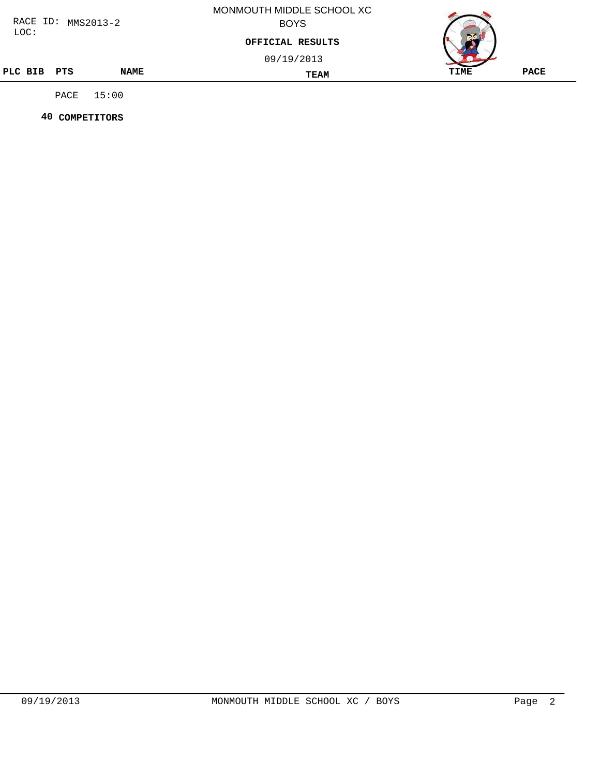| RACE ID:<br>$MMS2013-2$ |      |             | MONMOUTH MIDDLE SCHOOL XC<br><b>BOYS</b> |      |             |  |  |
|-------------------------|------|-------------|------------------------------------------|------|-------------|--|--|
| LOC:                    |      |             | OFFICIAL RESULTS                         |      |             |  |  |
|                         |      |             | 09/19/2013                               |      |             |  |  |
| PLC BIB PTS             |      | <b>NAME</b> | <b>TEAM</b>                              | TIME | <b>PACE</b> |  |  |
|                         | PACE | 15:00       |                                          |      |             |  |  |

 **40 COMPETITORS**